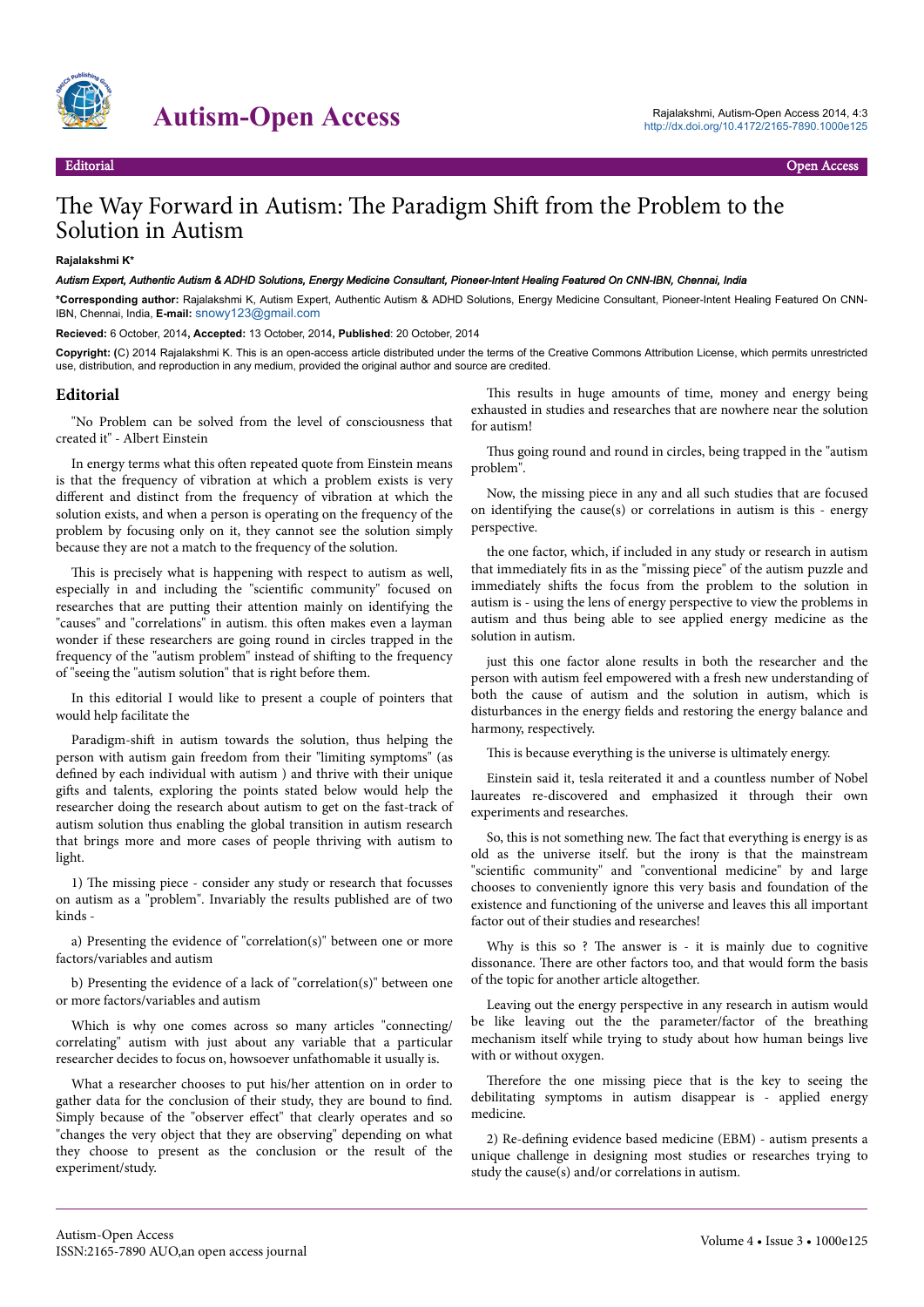

# Autism-Open Access 2014, 4:3

# The Way Forward in Autism: The Paradigm Shift from the Problem to the Solution in Autism

#### **Rajalakshmi K\***

### *Autism Expert, Authentic Autism & ADHD Solutions, Energy Medicine Consultant, Pioneer-Intent Healing Featured On CNN-IBN, Chennai, India*

**\*Corresponding author:** Rajalakshmi K, Autism Expert, Authentic Autism & ADHD Solutions, Energy Medicine Consultant, Pioneer-Intent Healing Featured On CNN-IBN, Chennai, India, **E-mail:** [snowy123@gmail.com](mailto:snowy123@gmail.com)

**Recieved:** 6 October, 2014**, Accepted:** 13 October, 2014**, Published**: 20 October, 2014

**Copyright: (**C) 2014 Rajalakshmi K. This is an open-access article distributed under the terms of the Creative Commons Attribution License, which permits unrestricted use, distribution, and reproduction in any medium, provided the original author and source are credited.

#### **Editorial**

"No Problem can be solved from the level of consciousness that created it" - Albert Einstein

In energy terms what this often repeated quote from Einstein means is that the frequency of vibration at which a problem exists is very different and distinct from the frequency of vibration at which the solution exists, and when a person is operating on the frequency of the problem by focusing only on it, they cannot see the solution simply because they are not a match to the frequency of the solution.

This is precisely what is happening with respect to autism as well, especially in and including the "scientific community" focused on researches that are putting their attention mainly on identifying the "causes" and "correlations" in autism. this often makes even a layman wonder if these researchers are going round in circles trapped in the frequency of the "autism problem" instead of shifting to the frequency of "seeing the "autism solution" that is right before them.

In this editorial I would like to present a couple of pointers that would help facilitate the

Paradigm-shift in autism towards the solution, thus helping the person with autism gain freedom from their "limiting symptoms" (as defined by each individual with autism ) and thrive with their unique gifts and talents, exploring the points stated below would help the researcher doing the research about autism to get on the fast-track of autism solution thus enabling the global transition in autism research that brings more and more cases of people thriving with autism to light.

1) Нe missing piece - consider any study or research that focusses on autism as a "problem". Invariably the results published are of two kinds -

a) Presenting the evidence of "correlation(s)" between one or more factors/variables and autism

b) Presenting the evidence of a lack of "correlation(s)" between one or more factors/variables and autism

Which is why one comes across so many articles "connecting/ correlating" autism with just about any variable that a particular researcher decides to focus on, howsoever unfathomable it usually is.

What a researcher chooses to put his/her attention on in order to gather data for the conclusion of their study, they are bound to find. Simply because of the "observer effect" that clearly operates and so "changes the very object that they are observing" depending on what they choose to present as the conclusion or the result of the experiment/study.

This results in huge amounts of time, money and energy being exhausted in studies and researches that are nowhere near the solution for autism!

Thus going round and round in circles, being trapped in the "autism problem".

Now, the missing piece in any and all such studies that are focused on identifying the cause(s) or correlations in autism is this - energy perspective.

the one factor, which, if included in any study or research in autism that immediately fits in as the "missing piece" of the autism puzzle and immediately shifts the focus from the problem to the solution in autism is - using the lens of energy perspective to view the problems in autism and thus being able to see applied energy medicine as the solution in autism.

just this one factor alone results in both the researcher and the person with autism feel empowered with a fresh new understanding of both the cause of autism and the solution in autism, which is disturbances in the energy fields and restoring the energy balance and harmony, respectively.

This is because everything is the universe is ultimately energy.

Einstein said it, tesla reiterated it and a countless number of Nobel laureates re-discovered and emphasized it through their own experiments and researches.

So, this is not something new. Нe fact that everything is energy is as old as the universe itself. but the irony is that the mainstream "scientific community" and "conventional medicine" by and large chooses to conveniently ignore this very basis and foundation of the existence and functioning of the universe and leaves this all important factor out of their studies and researches!

Why is this so ? The answer is - it is mainly due to cognitive dissonance. Нere are other factors too, and that would form the basis of the topic for another article altogether.

Leaving out the energy perspective in any research in autism would be like leaving out the the parameter/factor of the breathing mechanism itself while trying to study about how human beings live with or without oxygen.

Therefore the one missing piece that is the key to seeing the debilitating symptoms in autism disappear is - applied energy medicine.

2) Re-defining evidence based medicine (EBM) - autism presents a unique challenge in designing most studies or researches trying to study the cause(s) and/or correlations in autism.